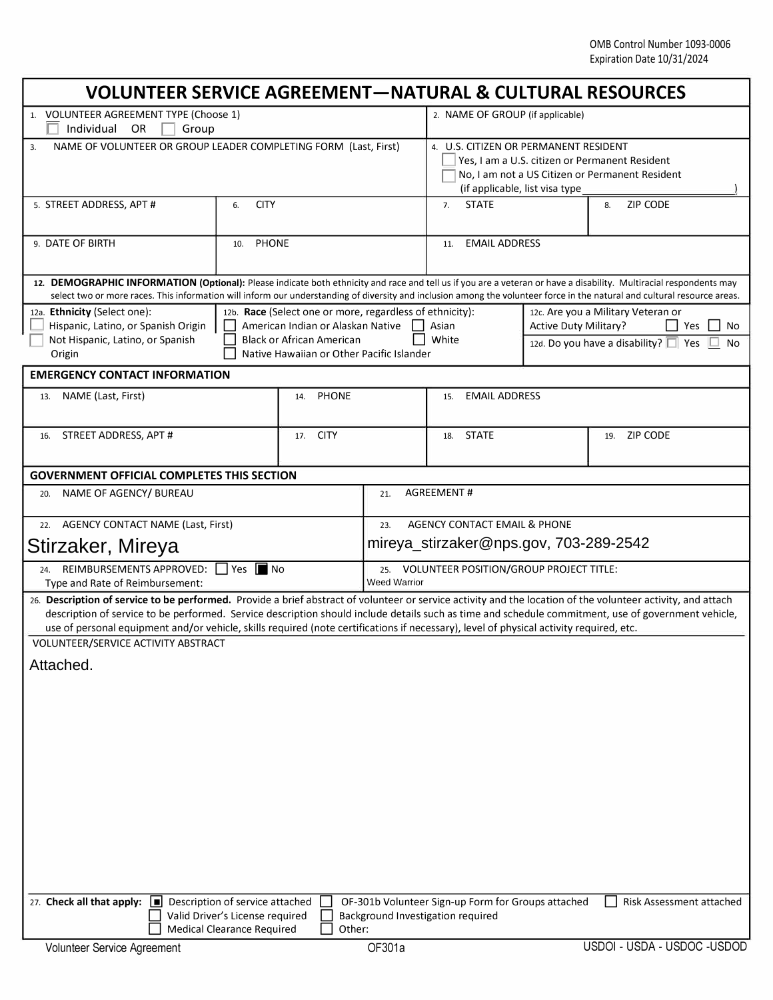| <b>VOLUNTEER SERVICE AGREEMENT-NATURAL &amp; CULTURAL RESOURCES</b>                                                                                                                                                                                                                                                                                                                                                                                            |                                                                    |                    |                                                                               |                                                                                                                                                                               |                      |                             |  |  |
|----------------------------------------------------------------------------------------------------------------------------------------------------------------------------------------------------------------------------------------------------------------------------------------------------------------------------------------------------------------------------------------------------------------------------------------------------------------|--------------------------------------------------------------------|--------------------|-------------------------------------------------------------------------------|-------------------------------------------------------------------------------------------------------------------------------------------------------------------------------|----------------------|-----------------------------|--|--|
| 1. VOLUNTEER AGREEMENT TYPE (Choose 1)<br>Individual<br>OR<br>Group                                                                                                                                                                                                                                                                                                                                                                                            |                                                                    |                    |                                                                               | 2. NAME OF GROUP (if applicable)                                                                                                                                              |                      |                             |  |  |
| NAME OF VOLUNTEER OR GROUP LEADER COMPLETING FORM (Last, First)<br>3.                                                                                                                                                                                                                                                                                                                                                                                          |                                                                    |                    |                                                                               | 4. U.S. CITIZEN OR PERMANENT RESIDENT<br>Yes, I am a U.S. citizen or Permanent Resident<br>No, I am not a US Citizen or Permanent Resident<br>(if applicable, list visa type) |                      |                             |  |  |
| 5. STREET ADDRESS, APT #                                                                                                                                                                                                                                                                                                                                                                                                                                       | <b>CITY</b><br>6.                                                  |                    |                                                                               | <b>STATE</b><br>7.                                                                                                                                                            |                      | <b>ZIP CODE</b><br>8.       |  |  |
| 9. DATE OF BIRTH                                                                                                                                                                                                                                                                                                                                                                                                                                               | <b>PHONE</b><br>10.                                                |                    |                                                                               | 11.                                                                                                                                                                           | <b>EMAIL ADDRESS</b> |                             |  |  |
| 12. DEMOGRAPHIC INFORMATION (Optional): Please indicate both ethnicity and race and tell us if you are a veteran or have a disability. Multiracial respondents may<br>select two or more races. This information will inform our understanding of diversity and inclusion among the volunteer force in the natural and cultural resource areas.                                                                                                                |                                                                    |                    |                                                                               |                                                                                                                                                                               |                      |                             |  |  |
| 12a. Ethnicity (Select one):<br>12b. Race (Select one or more, regardless of ethnicity):<br>Hispanic, Latino, or Spanish Origin<br>American Indian or Alaskan Native<br>Not Hispanic, Latino, or Spanish<br><b>Black or African American</b><br>Native Hawaiian or Other Pacific Islander<br>Origin                                                                                                                                                            |                                                                    |                    |                                                                               | 12c. Are you a Military Veteran or<br><b>Active Duty Military?</b><br>Asian<br>Yes<br>No<br>White<br>12d. Do you have a disability? $\Box$ Yes<br>No                          |                      |                             |  |  |
| <b>EMERGENCY CONTACT INFORMATION</b>                                                                                                                                                                                                                                                                                                                                                                                                                           |                                                                    |                    |                                                                               |                                                                                                                                                                               |                      |                             |  |  |
| NAME (Last, First)<br>13.                                                                                                                                                                                                                                                                                                                                                                                                                                      |                                                                    | 14. PHONE          |                                                                               | <b>EMAIL ADDRESS</b><br>15.                                                                                                                                                   |                      |                             |  |  |
| STREET ADDRESS, APT #<br>16.                                                                                                                                                                                                                                                                                                                                                                                                                                   |                                                                    | <b>CITY</b><br>17. |                                                                               |                                                                                                                                                                               |                      | 19. ZIP CODE                |  |  |
| <b>GOVERNMENT OFFICIAL COMPLETES THIS SECTION</b>                                                                                                                                                                                                                                                                                                                                                                                                              |                                                                    |                    |                                                                               |                                                                                                                                                                               |                      |                             |  |  |
| NAME OF AGENCY/ BUREAU<br>20.                                                                                                                                                                                                                                                                                                                                                                                                                                  |                                                                    |                    | <b>AGREEMENT#</b><br>21.                                                      |                                                                                                                                                                               |                      |                             |  |  |
| <b>AGENCY CONTACT NAME (Last, First)</b><br>22.                                                                                                                                                                                                                                                                                                                                                                                                                |                                                                    |                    | AGENCY CONTACT EMAIL & PHONE<br>23.<br>mireya_stirzaker@nps.gov, 703-289-2542 |                                                                                                                                                                               |                      |                             |  |  |
| Stirzaker, Mireya                                                                                                                                                                                                                                                                                                                                                                                                                                              |                                                                    |                    |                                                                               |                                                                                                                                                                               |                      |                             |  |  |
| REIMBURSEMENTS APPROVED:     Yes  ■ No<br>24.<br>Type and Rate of Reimbursement:                                                                                                                                                                                                                                                                                                                                                                               |                                                                    |                    | 25. VOLUNTEER POSITION/GROUP PROJECT TITLE:<br><b>Weed Warrior</b>            |                                                                                                                                                                               |                      |                             |  |  |
| 26. Description of service to be performed. Provide a brief abstract of volunteer or service activity and the location of the volunteer activity, and attach<br>description of service to be performed. Service description should include details such as time and schedule commitment, use of government vehicle,<br>use of personal equipment and/or vehicle, skills required (note certifications if necessary), level of physical activity required, etc. |                                                                    |                    |                                                                               |                                                                                                                                                                               |                      |                             |  |  |
| VOLUNTEER/SERVICE ACTIVITY ABSTRACT                                                                                                                                                                                                                                                                                                                                                                                                                            |                                                                    |                    |                                                                               |                                                                                                                                                                               |                      |                             |  |  |
| Attached.                                                                                                                                                                                                                                                                                                                                                                                                                                                      |                                                                    |                    |                                                                               |                                                                                                                                                                               |                      |                             |  |  |
|                                                                                                                                                                                                                                                                                                                                                                                                                                                                |                                                                    |                    |                                                                               |                                                                                                                                                                               |                      |                             |  |  |
|                                                                                                                                                                                                                                                                                                                                                                                                                                                                |                                                                    |                    |                                                                               |                                                                                                                                                                               |                      |                             |  |  |
|                                                                                                                                                                                                                                                                                                                                                                                                                                                                |                                                                    |                    |                                                                               |                                                                                                                                                                               |                      |                             |  |  |
|                                                                                                                                                                                                                                                                                                                                                                                                                                                                |                                                                    |                    |                                                                               |                                                                                                                                                                               |                      |                             |  |  |
|                                                                                                                                                                                                                                                                                                                                                                                                                                                                |                                                                    |                    |                                                                               |                                                                                                                                                                               |                      |                             |  |  |
|                                                                                                                                                                                                                                                                                                                                                                                                                                                                |                                                                    |                    |                                                                               |                                                                                                                                                                               |                      |                             |  |  |
|                                                                                                                                                                                                                                                                                                                                                                                                                                                                |                                                                    |                    |                                                                               |                                                                                                                                                                               |                      |                             |  |  |
|                                                                                                                                                                                                                                                                                                                                                                                                                                                                |                                                                    |                    |                                                                               |                                                                                                                                                                               |                      |                             |  |  |
| 27. Check all that apply:<br>$\vert$                                                                                                                                                                                                                                                                                                                                                                                                                           | Description of service attached<br>Valid Driver's License required |                    |                                                                               | OF-301b Volunteer Sign-up Form for Groups attached<br>Background Investigation required                                                                                       |                      | Risk Assessment attached    |  |  |
| <b>Medical Clearance Required</b><br>Other:                                                                                                                                                                                                                                                                                                                                                                                                                    |                                                                    |                    |                                                                               |                                                                                                                                                                               |                      |                             |  |  |
| Volunteer Service Agreement                                                                                                                                                                                                                                                                                                                                                                                                                                    |                                                                    |                    | OF301a                                                                        |                                                                                                                                                                               |                      | USDOI - USDA - USDOC -USDOD |  |  |